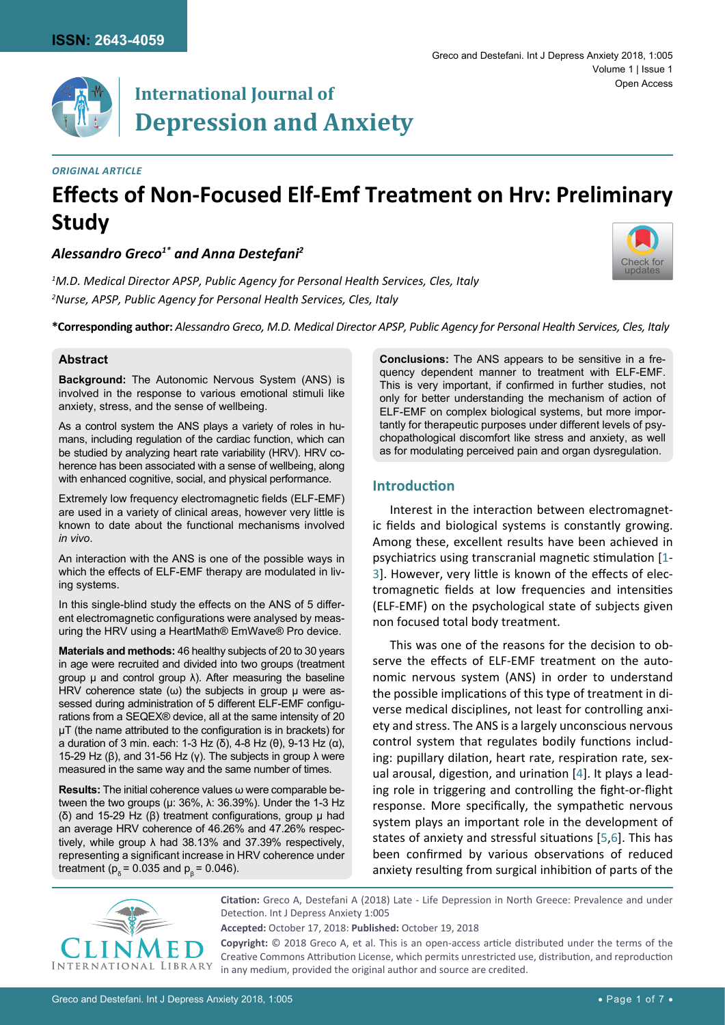[Check for](http://crossmark.crossref.org/dialog/?doi=/10.23937/ijda-2017/1710005&domain=pdf) updates



#### *Original Article*

# **Effects of Non-Focused Elf-Emf Treatment on Hrv: Preliminary Study**

*Alessandro Greco1\* and Anna Destefani2*

*1 M.D. Medical Director APSP, Public Agency for Personal Health Services, Cles, Italy 2 Nurse, APSP, Public Agency for Personal Health Services, Cles, Italy*

**\*Corresponding author:** *Alessandro Greco, M.D. Medical Director APSP, Public Agency for Personal Health Services, Cles, Italy*

#### **Abstract**

**Background:** The Autonomic Nervous System (ANS) is involved in the response to various emotional stimuli like anxiety, stress, and the sense of wellbeing.

As a control system the ANS plays a variety of roles in humans, including regulation of the cardiac function, which can be studied by analyzing heart rate variability (HRV). HRV coherence has been associated with a sense of wellbeing, along with enhanced cognitive, social, and physical performance.

Extremely low frequency electromagnetic fields (ELF-EMF) are used in a variety of clinical areas, however very little is known to date about the functional mechanisms involved *in vivo*.

An interaction with the ANS is one of the possible ways in which the effects of ELF-EMF therapy are modulated in living systems.

In this single-blind study the effects on the ANS of 5 different electromagnetic configurations were analysed by measuring the HRV using a HeartMath® EmWave® Pro device.

**Materials and methods:** 46 healthy subjects of 20 to 30 years in age were recruited and divided into two groups (treatment group  $\mu$  and control group  $\lambda$ ). After measuring the baseline HRV coherence state  $(\omega)$  the subjects in group  $\mu$  were assessed during administration of 5 different ELF-EMF configurations from a SEQEX® device, all at the same intensity of 20 μT (the name attributed to the configuration is in brackets) for a duration of 3 min. each: 1-3 Hz (δ), 4-8 Hz (θ), 9-13 Hz (α), 15-29 Hz (β), and 31-56 Hz (γ). The subjects in group  $\lambda$  were measured in the same way and the same number of times.

**Results:** The initial coherence values ω were comparable between the two groups (μ:  $36\%$ , λ:  $36.39\%$ ). Under the 1-3 Hz (δ) and 15-29 Hz ( $β$ ) treatment configurations, group  $μ$  had an average HRV coherence of 46.26% and 47.26% respectively, while group λ had 38.13% and 37.39% respectively, representing a significant increase in HRV coherence under treatment ( $p_0 = 0.035$  and  $p_8 = 0.046$ ).

**Conclusions:** The ANS appears to be sensitive in a frequency dependent manner to treatment with ELF-EMF. This is very important, if confirmed in further studies, not only for better understanding the mechanism of action of ELF-EMF on complex biological systems, but more importantly for therapeutic purposes under different levels of psychopathological discomfort like stress and anxiety, as well as for modulating perceived pain and organ dysregulation.

## **Introduction**

Interest in the interaction between electromagnetic fields and biological systems is constantly growing. Among these, excellent results have been achieved in psychiatrics using transcranial magnetic stimulation [[1](#page-5-0)- [3](#page-5-1)]. However, very little is known of the effects of electromagnetic fields at low frequencies and intensities (ELF-EMF) on the psychological state of subjects given non focused total body treatment.

This was one of the reasons for the decision to observe the effects of ELF-EMF treatment on the autonomic nervous system (ANS) in order to understand the possible implications of this type of treatment in diverse medical disciplines, not least for controlling anxiety and stress. The ANS is a largely unconscious nervous control system that regulates bodily functions including: pupillary dilation, heart rate, respiration rate, sexual arousal, digestion, and urination [[4](#page-5-2)]. It plays a leading role in triggering and controlling the fight-or-flight response. More specifically, the sympathetic nervous system plays an important role in the development of states of anxiety and stressful situations [[5](#page-5-3),[6](#page-5-4)]. This has been confirmed by various observations of reduced anxiety resulting from surgical inhibition of parts of the



**Citation:** Greco A, Destefani A (2018) Late - Life Depression in North Greece: Prevalence and under Detection. Int J Depress Anxiety 1:005

**Accepted:** October 17, 2018: **Published:** October 19, 2018

**Copyright:** © 2018 Greco A, et al. This is an open-access article distributed under the terms of the Creative Commons Attribution License, which permits unrestricted use, distribution, and reproduction in any medium, provided the original author and source are credited.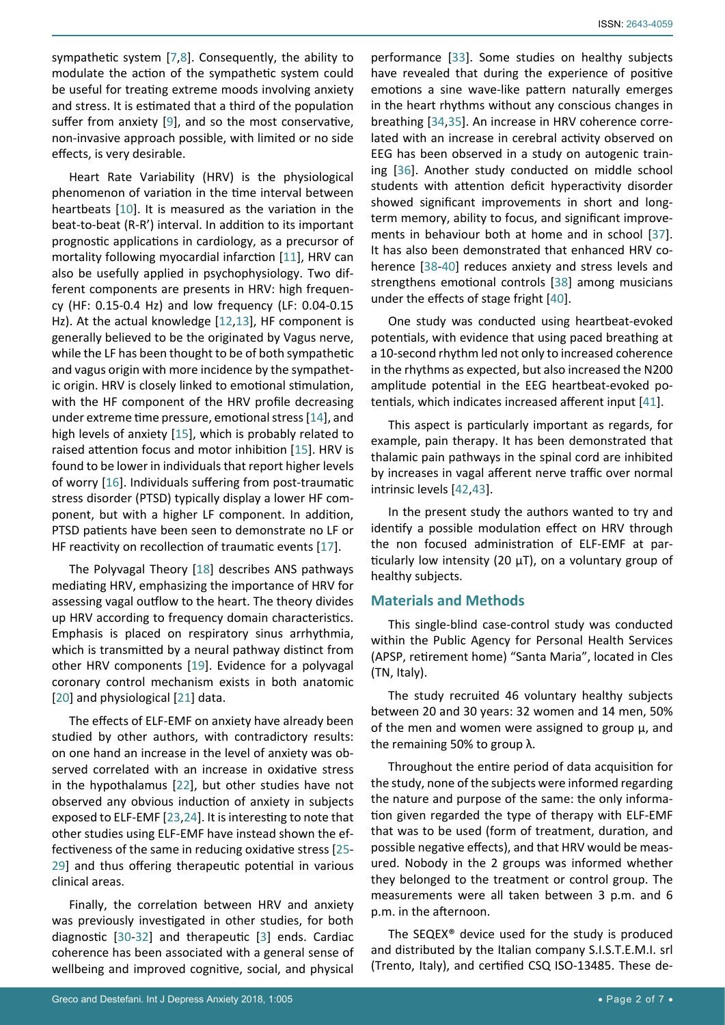ISSN: 2643-4059

sympathetic system [[7](#page-5-5),[8](#page-5-6)]. Consequently, the ability to modulate the action of the sympathetic system could be useful for treating extreme moods involving anxiety and stress. It is estimated that a third of the population suffer from anxiety [[9](#page-5-7)], and so the most conservative, non-invasive approach possible, with limited or no side effects, is very desirable.

Heart Rate Variability (HRV) is the physiological phenomenon of variation in the time interval between heartbeats [[10](#page-5-8)]. It is measured as the variation in the beat-to-beat (R-R') interval. In addition to its important prognostic applications in cardiology, as a precursor of mortality following myocardial infarction [[11](#page-5-9)], HRV can also be usefully applied in psychophysiology. Two different components are presents in HRV: high frequency (HF: 0.15-0.4 Hz) and low frequency (LF: 0.04-0.15 Hz). At the actual knowledge [[12](#page-5-10),[13](#page-5-11)], HF component is generally believed to be the originated by Vagus nerve, while the LF has been thought to be of both sympathetic and vagus origin with more incidence by the sympathetic origin. HRV is closely linked to emotional stimulation, with the HF component of the HRV profile decreasing under extreme time pressure, emotional stress [[14](#page-5-12)], and high levels of anxiety [[15](#page-5-13)], which is probably related to raised attention focus and motor inhibition [[15](#page-5-13)]. HRV is found to be lower in individuals that report higher levels of worry [[16](#page-5-14)]. Individuals suffering from post-traumatic stress disorder (PTSD) typically display a lower HF component, but with a higher LF component. In addition, PTSD patients have been seen to demonstrate no LF or HF reactivity on recollection of traumatic events [[17](#page-5-15)].

The Polyvagal Theory [[18](#page-5-16)] describes ANS pathways mediating HRV, emphasizing the importance of HRV for assessing vagal outflow to the heart. The theory divides up HRV according to frequency domain characteristics. Emphasis is placed on respiratory sinus arrhythmia, which is transmitted by a neural pathway distinct from other HRV components [[19](#page-5-17)]. Evidence for a polyvagal coronary control mechanism exists in both anatomic [[20](#page-5-18)] and physiological [[21](#page-5-19)] data.

The effects of ELF-EMF on anxiety have already been studied by other authors, with contradictory results: on one hand an increase in the level of anxiety was observed correlated with an increase in oxidative stress in the hypothalamus [[22](#page-5-20)], but other studies have not observed any obvious induction of anxiety in subjects exposed to ELF-EMF [[23](#page-5-21),[24](#page-5-22)]. It is interesting to note that other studies using ELF-EMF have instead shown the effectiveness of the same in reducing oxidative stress [[25](#page-6-0)- [29](#page-6-1)] and thus offering therapeutic potential in various clinical areas.

Finally, the correlation between HRV and anxiety was previously investigated in other studies, for both diagnostic [[30-](#page-6-2)[32](#page-6-3)] and therapeutic [[3](#page-5-1)] ends. Cardiac coherence has been associated with a general sense of wellbeing and improved cognitive, social, and physical

performance [[33](#page-6-4)]. Some studies on healthy subjects have revealed that during the experience of positive emotions a sine wave-like pattern naturally emerges in the heart rhythms without any conscious changes in breathing [[34](#page-6-5),[35](#page-6-6)]. An increase in HRV coherence correlated with an increase in cerebral activity observed on EEG has been observed in a study on autogenic training [[36](#page-6-7)]. Another study conducted on middle school students with attention deficit hyperactivity disorder showed significant improvements in short and longterm memory, ability to focus, and significant improvements in behaviour both at home and in school [[37](#page-6-8)]. It has also been demonstrated that enhanced HRV coherence [[38-](#page-6-9)[40](#page-6-10)] reduces anxiety and stress levels and strengthens emotional controls [[38](#page-6-9)] among musicians under the effects of stage fright [[40](#page-6-10)].

One study was conducted using heartbeat-evoked potentials, with evidence that using paced breathing at a 10-second rhythm led not only to increased coherence in the rhythms as expected, but also increased the N200 amplitude potential in the EEG heartbeat-evoked potentials, which indicates increased afferent input [[41](#page-6-11)].

This aspect is particularly important as regards, for example, pain therapy. It has been demonstrated that thalamic pain pathways in the spinal cord are inhibited by increases in vagal afferent nerve traffic over normal intrinsic levels [[42](#page-6-12),[43](#page-6-13)].

In the present study the authors wanted to try and identify a possible modulation effect on HRV through the non focused administration of ELF-EMF at particularly low intensity (20 µT), on a voluntary group of healthy subjects.

# **Materials and Methods**

This single-blind case-control study was conducted within the Public Agency for Personal Health Services (APSP, retirement home) "Santa Maria", located in Cles (TN, Italy).

The study recruited 46 voluntary healthy subjects between 20 and 30 years: 32 women and 14 men, 50% of the men and women were assigned to group  $\mu$ , and the remaining 50% to group λ.

Throughout the entire period of data acquisition for the study, none of the subjects were informed regarding the nature and purpose of the same: the only information given regarded the type of therapy with ELF-EMF that was to be used (form of treatment, duration, and possible negative effects), and that HRV would be measured. Nobody in the 2 groups was informed whether they belonged to the treatment or control group. The measurements were all taken between 3 p.m. and 6 p.m. in the afternoon.

The SEQEX® device used for the study is produced and distributed by the Italian company S.I.S.T.E.M.I. srl (Trento, Italy), and certified CSQ ISO-13485. These de-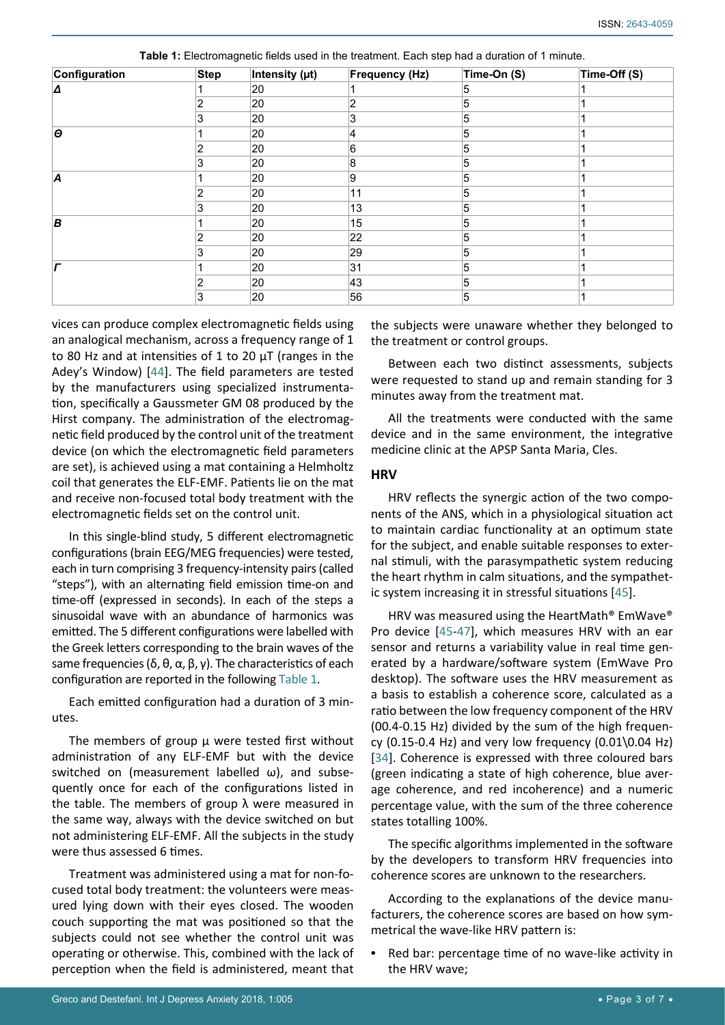| Configuration         | <b>Step</b> | Intensity (µt) | <b>Frequency (Hz)</b> | Time-On (S) | Time-Off (S) |
|-----------------------|-------------|----------------|-----------------------|-------------|--------------|
| A                     |             | 20             |                       | 5           |              |
|                       |             | 20             | 2                     | 5           |              |
|                       | 3           | 20             | 3                     | 5           |              |
| $\boldsymbol{\Theta}$ |             | 20             | 4                     | 5           |              |
|                       |             | 20             | 6                     | 5           |              |
|                       | 3           | 20             | 8                     | 5           |              |
| A                     |             | 20             | 9                     | 5           |              |
|                       |             | 20             | 11                    | 5           |              |
|                       | 3           | 20             | 13                    | 5           |              |
| B                     |             | 20             | 15                    | 5           |              |
|                       |             | 20             | 22                    | 5           |              |
|                       | 3           | 20             | 29                    | 5           |              |
|                       |             | 20             | 31                    | 5           |              |
|                       | 2           | 20             | 43                    | 5           |              |
|                       | 3           | 20             | 56                    | 5           |              |

<span id="page-2-0"></span>**Table 1:** Electromagnetic fields used in the treatment. Each step had a duration of 1 minute.

vices can produce complex electromagnetic fields using an analogical mechanism, across a frequency range of 1 to 80 Hz and at intensities of 1 to 20 µT (ranges in the Adey's Window) [[44](#page-6-16)]. The field parameters are tested by the manufacturers using specialized instrumentation, specifically a Gaussmeter GM 08 produced by the Hirst company. The administration of the electromagnetic field produced by the control unit of the treatment device (on which the electromagnetic field parameters are set), is achieved using a mat containing a Helmholtz coil that generates the ELF-EMF. Patients lie on the mat and receive non-focused total body treatment with the electromagnetic fields set on the control unit.

In this single-blind study, 5 different electromagnetic configurations (brain EEG/MEG frequencies) were tested, each in turn comprising 3 frequency-intensity pairs (called "steps"), with an alternating field emission time-on and time-off (expressed in seconds). In each of the steps a sinusoidal wave with an abundance of harmonics was emitted. The 5 different configurations were labelled with the Greek letters corresponding to the brain waves of the same frequencies (δ, θ, α, β, γ). The characteristics of each configuration are reported in the following [Table 1](#page-2-0).

Each emitted configuration had a duration of 3 minutes.

The members of group μ were tested first without administration of any ELF-EMF but with the device switched on (measurement labelled ω), and subsequently once for each of the configurations listed in the table. The members of group  $λ$  were measured in the same way, always with the device switched on but not administering ELF-EMF. All the subjects in the study were thus assessed 6 times.

Treatment was administered using a mat for non-focused total body treatment: the volunteers were measured lying down with their eyes closed. The wooden couch supporting the mat was positioned so that the subjects could not see whether the control unit was operating or otherwise. This, combined with the lack of perception when the field is administered, meant that

the subjects were unaware whether they belonged to the treatment or control groups.

Between each two distinct assessments, subjects were requested to stand up and remain standing for 3 minutes away from the treatment mat.

All the treatments were conducted with the same device and in the same environment, the integrative medicine clinic at the APSP Santa Maria, Cles.

## **HRV**

HRV reflects the synergic action of the two components of the ANS, which in a physiological situation act to maintain cardiac functionality at an optimum state for the subject, and enable suitable responses to external stimuli, with the parasympathetic system reducing the heart rhythm in calm situations, and the sympathetic system increasing it in stressful situations [[45](#page-6-14)].

HRV was measured using the HeartMath® EmWave® Pro device [[45](#page-6-14)[-47](#page-6-15)], which measures HRV with an ear sensor and returns a variability value in real time generated by a hardware/software system (EmWave Pro desktop). The software uses the HRV measurement as a basis to establish a coherence score, calculated as a ratio between the low frequency component of the HRV (00.4-0.15 Hz) divided by the sum of the high frequency (0.15-0.4 Hz) and very low frequency  $(0.01\,0.04$  Hz) [[34](#page-6-5)]. Coherence is expressed with three coloured bars (green indicating a state of high coherence, blue average coherence, and red incoherence) and a numeric percentage value, with the sum of the three coherence states totalling 100%.

The specific algorithms implemented in the software by the developers to transform HRV frequencies into coherence scores are unknown to the researchers.

According to the explanations of the device manufacturers, the coherence scores are based on how symmetrical the wave-like HRV pattern is:

Red bar: percentage time of no wave-like activity in the HRV wave;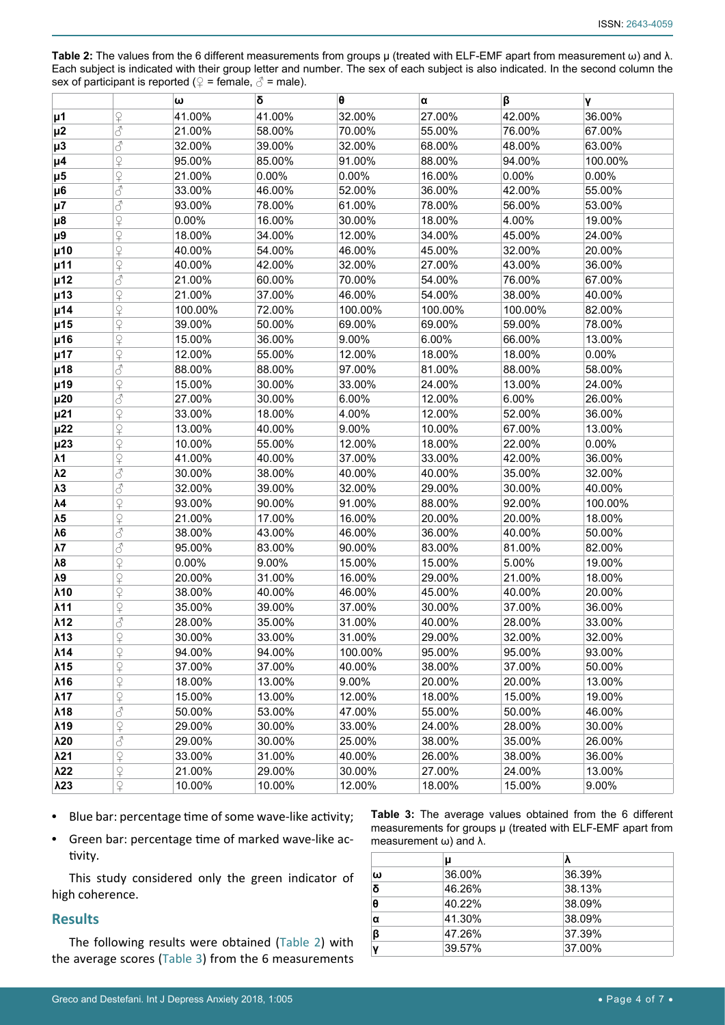<span id="page-3-0"></span>**Table 2:** The values from the 6 different measurements from groups μ (treated with ELF-EMF apart from measurement ω) and λ. Each subject is indicated with their group letter and number. The sex of each subject is also indicated. In the second column the sex of participant is reported ( $\varphi$  = female,  $\varphi$  = male).

|                |                    | ω       | δ      | θ       | α       | β        | γ        |
|----------------|--------------------|---------|--------|---------|---------|----------|----------|
| <b>μ1</b>      | $\frac{1}{2}$      | 41.00%  | 41.00% | 32.00%  | 27.00%  | 42.00%   | 36.00%   |
| $\mu$ 2        | 8                  | 21.00%  | 58.00% | 70.00%  | 55.00%  | 76.00%   | 67.00%   |
| $\mu$ 3        | 8                  | 32.00%  | 39.00% | 32.00%  | 68.00%  | 48.00%   | 63.00%   |
| µ <sub>4</sub> | $\frac{1}{2}$      | 95.00%  | 85.00% | 91.00%  | 88.00%  | 94.00%   | 100.00%  |
| µ <sub>5</sub> | $\overline{P}$     | 21.00%  | 0.00%  | 0.00%   | 16.00%  | $0.00\%$ | 0.00%    |
| $\mu$ 6        | 8                  | 33.00%  | 46.00% | 52.00%  | 36.00%  | 42.00%   | 55.00%   |
| $\mu$ 7        | 8                  | 93.00%  | 78.00% | 61.00%  | 78.00%  | 56.00%   | 53.00%   |
| $\mu$ 8        | $\varphi$          | 0.00%   | 16.00% | 30.00%  | 18.00%  | 4.00%    | 19.00%   |
| $\mu$ 9        | $\varphi$          | 18.00%  | 34.00% | 12.00%  | 34.00%  | 45.00%   | 24.00%   |
| $\mu$ 10       | $\overline{P}$     | 40.00%  | 54.00% | 46.00%  | 45.00%  | 32.00%   | 20.00%   |
| µ11            | $\varphi$          | 40.00%  | 42.00% | 32.00%  | 27.00%  | 43.00%   | 36.00%   |
| µ12            | 8                  | 21.00%  | 60.00% | 70.00%  | 54.00%  | 76.00%   | 67.00%   |
| µ13            | $\varphi$          | 21.00%  | 37.00% | 46.00%  | 54.00%  | 38.00%   | 40.00%   |
| µ14            | $\varphi$          | 100.00% | 72.00% | 100.00% | 100.00% | 100.00%  | 82.00%   |
| µ15            | $\varphi$          | 39.00%  | 50.00% | 69.00%  | 69.00%  | 59.00%   | 78.00%   |
| µ16            | $\frac{1}{1}$      | 15.00%  | 36.00% | 9.00%   | 6.00%   | 66.00%   | 13.00%   |
| µ17            | $\varphi$          | 12.00%  | 55.00% | 12.00%  | 18.00%  | 18.00%   | $0.00\%$ |
| µ18            | 8                  | 88.00%  | 88.00% | 97.00%  | 81.00%  | 88.00%   | 58.00%   |
| µ19            | $\varphi$          | 15.00%  | 30.00% | 33.00%  | 24.00%  | 13.00%   | 24.00%   |
| $\mu$ 20       | 8                  | 27.00%  | 30.00% | 6.00%   | 12.00%  | 6.00%    | 26.00%   |
| $\mu$ 21       | $\varphi$          | 33.00%  | 18.00% | 4.00%   | 12.00%  | 52.00%   | 36.00%   |
| $\mu$ 22       | $\varphi$          | 13.00%  | 40.00% | 9.00%   | 10.00%  | 67.00%   | 13.00%   |
| $\mu$ 23       | $\varphi$          | 10.00%  | 55.00% | 12.00%  | 18.00%  | 22.00%   | $0.00\%$ |
| λ1             | $\varphi$          | 41.00%  | 40.00% | 37.00%  | 33.00%  | 42.00%   | 36.00%   |
| $\lambda$ 2    | 8                  | 30.00%  | 38.00% | 40.00%  | 40.00%  | 35.00%   | 32.00%   |
| $\lambda$ 3    | 8                  | 32.00%  | 39.00% | 32.00%  | 29.00%  | 30.00%   | 40.00%   |
| $\lambda$ 4    | $\varphi$          | 93.00%  | 90.00% | 91.00%  | 88.00%  | 92.00%   | 100.00%  |
| $\lambda$ 5    | $\mathsf{P}$       | 21.00%  | 17.00% | 16.00%  | 20.00%  | 20.00%   | 18.00%   |
| $\lambda 6$    | 8                  | 38.00%  | 43.00% | 46.00%  | 36.00%  | 40.00%   | 50.00%   |
| $\lambda$ 7    | 8                  | 95.00%  | 83.00% | 90.00%  | 83.00%  | 81.00%   | 82.00%   |
| $\lambda8$     | $\frac{1}{2}$      | 0.00%   | 9.00%  | 15.00%  | 15.00%  | 5.00%    | 19.00%   |
| $\lambda$ 9    | $\overline{P}$     | 20.00%  | 31.00% | 16.00%  | 29.00%  | 21.00%   | 18.00%   |
| $\lambda$ 10   | $\varphi$          | 38.00%  | 40.00% | 46.00%  | 45.00%  | 40.00%   | 20.00%   |
| $\lambda$ 11   | $\varphi$          | 35.00%  | 39.00% | 37.00%  | 30.00%  | 37.00%   | 36.00%   |
| $\lambda$ 12   | 8                  | 28.00%  | 35.00% | 31.00%  | 40.00%  | 28.00%   | 33.00%   |
| $\lambda$ 13   | $\varphi$          | 30.00%  | 33.00% | 31.00%  | 29.00%  | 32.00%   | 32.00%   |
| λ14            | $\varphi$          | 94.00%  | 94.00% | 100.00% | 95.00%  | 95.00%   | 93.00%   |
| $\lambda$ 15   | $\varphi$          | 37.00%  | 37.00% | 40.00%  | 38.00%  | 37.00%   | 50.00%   |
| $\lambda$ 16   | $\varphi$          | 18.00%  | 13.00% | 9.00%   | 20.00%  | 20.00%   | 13.00%   |
| $\lambda$ 17   | $\varphi$          | 15.00%  | 13.00% | 12.00%  | 18.00%  | 15.00%   | 19.00%   |
| $\lambda$ 18   | 8                  | 50.00%  | 53.00% | 47.00%  | 55.00%  | 50.00%   | 46.00%   |
| $\lambda$ 19   | $rac{Q}{\pm}$      | 29.00%  | 30.00% | 33.00%  | 24.00%  | 28.00%   | 30.00%   |
| $\lambda$ 20   | 8                  | 29.00%  | 30.00% | 25.00%  | 38.00%  | 35.00%   | 26.00%   |
| $\lambda$ 21   | $rac{Q}{T}$        | 33.00%  | 31.00% | 40.00%  | 26.00%  | 38.00%   | 36.00%   |
| λ22            | $rac{Q}{\pm}$      | 21.00%  | 29.00% | 30.00%  | 27.00%  | 24.00%   | 13.00%   |
| $\lambda$ 23   | $\curvearrowright$ | 10.00%  | 10.00% | 12.00%  | 18.00%  | 15.00%   | 9.00%    |

- **•**  Blue bar: percentage time of some wave-like activity;
- **•**  Green bar: percentage time of marked wave-like activity.

This study considered only the green indicator of high coherence.

#### **Results**

The following results were obtained ([Table 2\)](#page-3-0) with the average scores [\(Table 3](#page-3-1)) from the 6 measurements

<span id="page-3-1"></span>

|  |                                        | <b>Table 3:</b> The average values obtained from the 6 different |  |  |
|--|----------------------------------------|------------------------------------------------------------------|--|--|
|  |                                        | measurements for groups $\mu$ (treated with ELF-EMF apart from   |  |  |
|  | measurement $\omega$ ) and $\lambda$ . |                                                                  |  |  |

|   | μ      |        |
|---|--------|--------|
| ω | 36.00% | 36.39% |
| δ | 46.26% | 38.13% |
| θ | 40.22% | 38.09% |
| α | 41.30% | 38.09% |
| β | 47.26% | 37.39% |
|   | 39.57% | 37.00% |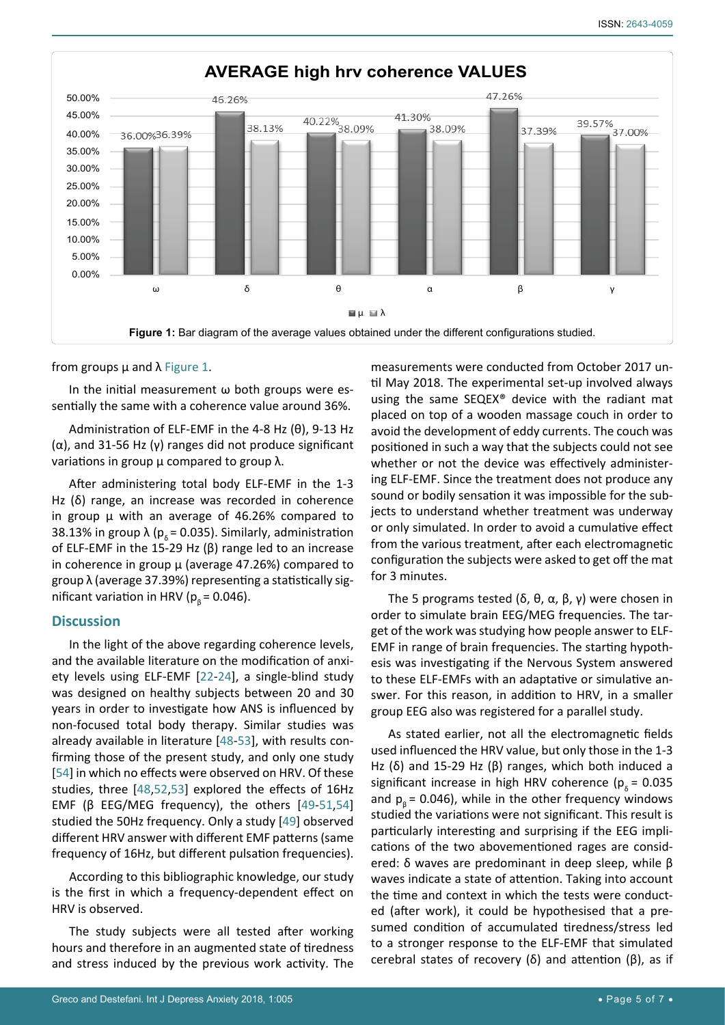<span id="page-4-0"></span>

from groups  $\mu$  and  $\lambda$  [Figure 1](#page-4-0).

In the initial measurement  $\omega$  both groups were essentially the same with a coherence value around 36%.

Administration of ELF-EMF in the 4-8 Hz (θ), 9-13 Hz (α), and 31-56 Hz (γ) ranges did not produce significant variations in group  $\mu$  compared to group  $\lambda$ .

After administering total body ELF-EMF in the 1-3 Hz (δ) range, an increase was recorded in coherence in group  $\mu$  with an average of 46.26% compared to 38.13% in group  $\lambda$  ( $p_s$  = 0.035). Similarly, administration of ELF-EMF in the 15-29 Hz (β) range led to an increase in coherence in group  $\mu$  (average 47.26%) compared to group λ (average 37.39%) representing a statistically significant variation in HRV ( $p<sub>g</sub> = 0.046$ ).

# **Discussion**

In the light of the above regarding coherence levels, and the available literature on the modification of anxiety levels using ELF-EMF [[22-](#page-5-20)[24](#page-5-22)], a single-blind study was designed on healthy subjects between 20 and 30 years in order to investigate how ANS is influenced by non-focused total body therapy. Similar studies was already available in literature [[48](#page-6-17)[-53](#page-6-18)], with results confirming those of the present study, and only one study [[54](#page-6-19)] in which no effects were observed on HRV. Of these studies, three [[48](#page-6-17),[52](#page-6-20),[53](#page-6-18)] explored the effects of 16Hz EMF ( $\beta$  EEG/MEG frequency), the others [[49-](#page-6-21)[51](#page-6-22),[54](#page-6-19)] studied the 50Hz frequency. Only a study [[49](#page-6-21)] observed different HRV answer with different EMF patterns (same frequency of 16Hz, but different pulsation frequencies).

According to this bibliographic knowledge, our study is the first in which a frequency-dependent effect on HRV is observed.

The study subjects were all tested after working hours and therefore in an augmented state of tiredness and stress induced by the previous work activity. The measurements were conducted from October 2017 until May 2018. The experimental set-up involved always using the same SEQEX® device with the radiant mat placed on top of a wooden massage couch in order to avoid the development of eddy currents. The couch was positioned in such a way that the subjects could not see whether or not the device was effectively administering ELF-EMF. Since the treatment does not produce any sound or bodily sensation it was impossible for the subjects to understand whether treatment was underway or only simulated. In order to avoid a cumulative effect from the various treatment, after each electromagnetic configuration the subjects were asked to get off the mat for 3 minutes.

The 5 programs tested (δ, θ, α, β, γ) were chosen in order to simulate brain EEG/MEG frequencies. The target of the work was studying how people answer to ELF-EMF in range of brain frequencies. The starting hypothesis was investigating if the Nervous System answered to these ELF-EMFs with an adaptative or simulative answer. For this reason, in addition to HRV, in a smaller group EEG also was registered for a parallel study.

As stated earlier, not all the electromagnetic fields used influenced the HRV value, but only those in the 1-3 Hz (δ) and 15-29 Hz (β) ranges, which both induced a significant increase in high HRV coherence ( $p_s = 0.035$ and  $p<sub>a</sub>$  = 0.046), while in the other frequency windows studied the variations were not significant. This result is particularly interesting and surprising if the EEG implications of the two abovementioned rages are considered: δ waves are predominant in deep sleep, while β waves indicate a state of attention. Taking into account the time and context in which the tests were conducted (after work), it could be hypothesised that a presumed condition of accumulated tiredness/stress led to a stronger response to the ELF-EMF that simulated cerebral states of recovery (δ) and attention (β), as if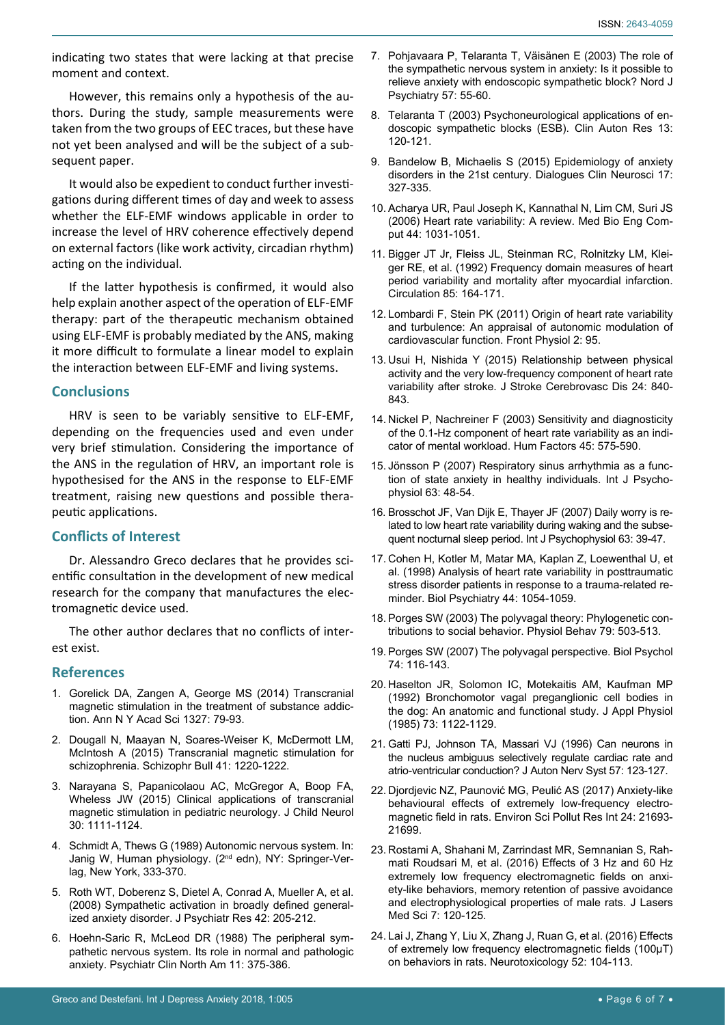indicating two states that were lacking at that precise moment and context.

However, this remains only a hypothesis of the authors. During the study, sample measurements were taken from the two groups of EEC traces, but these have not yet been analysed and will be the subject of a subsequent paper.

It would also be expedient to conduct further investigations during different times of day and week to assess whether the ELF-EMF windows applicable in order to increase the level of HRV coherence effectively depend on external factors (like work activity, circadian rhythm) acting on the individual.

If the latter hypothesis is confirmed, it would also help explain another aspect of the operation of ELF-EMF therapy: part of the therapeutic mechanism obtained using ELF-EMF is probably mediated by the ANS, making it more difficult to formulate a linear model to explain the interaction between ELF-EMF and living systems.

#### **Conclusions**

HRV is seen to be variably sensitive to ELF-EMF, depending on the frequencies used and even under very brief stimulation. Considering the importance of the ANS in the regulation of HRV, an important role is hypothesised for the ANS in the response to ELF-EMF treatment, raising new questions and possible therapeutic applications.

# **Conflicts of Interest**

Dr. Alessandro Greco declares that he provides scientific consultation in the development of new medical research for the company that manufactures the electromagnetic device used.

The other author declares that no conflicts of interest exist.

# **References**

- <span id="page-5-0"></span>1. [Gorelick DA, Zangen A, George MS \(2014\) Transcranial](https://www.ncbi.nlm.nih.gov/pubmed/25069523)  [magnetic stimulation in the treatment of substance addic](https://www.ncbi.nlm.nih.gov/pubmed/25069523)[tion. Ann N Y Acad Sci 1327: 79-93.](https://www.ncbi.nlm.nih.gov/pubmed/25069523)
- 2. [Dougall N, Maayan N, Soares-Weiser K, McDermott LM,](https://www.ncbi.nlm.nih.gov/pmc/articles/PMC4601720/)  [McIntosh A \(2015\) Transcranial magnetic stimulation for](https://www.ncbi.nlm.nih.gov/pmc/articles/PMC4601720/)  [schizophrenia. Schizophr Bull 41: 1220-1222.](https://www.ncbi.nlm.nih.gov/pmc/articles/PMC4601720/)
- <span id="page-5-1"></span>3. [Narayana S, Papanicolaou AC, McGregor A, Boop FA,](https://www.ncbi.nlm.nih.gov/pubmed/25342309)  [Wheless JW \(2015\) Clinical applications of transcranial](https://www.ncbi.nlm.nih.gov/pubmed/25342309)  [magnetic stimulation in pediatric neurology. J Child Neurol](https://www.ncbi.nlm.nih.gov/pubmed/25342309)  [30: 1111-1124.](https://www.ncbi.nlm.nih.gov/pubmed/25342309)
- <span id="page-5-2"></span>4. Schmidt A, Thews G (1989) Autonomic nervous system. In: Janig W, Human physiology. (2nd edn), NY: Springer-Verlag, New York, 333-370.
- <span id="page-5-3"></span>5. [Roth WT, Doberenz S, Dietel A, Conrad A, Mueller A, et al.](https://www.ncbi.nlm.nih.gov/pubmed/17250853)  [\(2008\) Sympathetic activation in broadly defined general](https://www.ncbi.nlm.nih.gov/pubmed/17250853)[ized anxiety disorder. J Psychiatr Res 42: 205-212.](https://www.ncbi.nlm.nih.gov/pubmed/17250853)
- <span id="page-5-4"></span>6. [Hoehn-Saric R, McLeod DR \(1988\) The peripheral sym](https://www.ncbi.nlm.nih.gov/pubmed/3047706)[pathetic nervous system. Its role in normal and pathologic](https://www.ncbi.nlm.nih.gov/pubmed/3047706)  [anxiety. Psychiatr Clin North Am 11: 375-386.](https://www.ncbi.nlm.nih.gov/pubmed/3047706)
- <span id="page-5-5"></span>7. [Pohjavaara P, Telaranta T, Väisänen E \(2003\) The role of](https://www.ncbi.nlm.nih.gov/pubmed/12745792)  [the sympathetic nervous system in anxiety: Is it possible to](https://www.ncbi.nlm.nih.gov/pubmed/12745792)  [relieve anxiety with endoscopic sympathetic block? Nord J](https://www.ncbi.nlm.nih.gov/pubmed/12745792)  [Psychiatry 57: 55-60.](https://www.ncbi.nlm.nih.gov/pubmed/12745792)
- <span id="page-5-6"></span>8. [Telaranta T \(2003\) Psychoneurological applications of en](https://www.ncbi.nlm.nih.gov/pubmed/14673667)[doscopic sympathetic blocks \(ESB\). Clin Auton Res 13:](https://www.ncbi.nlm.nih.gov/pubmed/14673667)  [120-121.](https://www.ncbi.nlm.nih.gov/pubmed/14673667)
- <span id="page-5-7"></span>9. [Bandelow B, Michaelis S \(2015\) Epidemiology of anxiety](https://www.ncbi.nlm.nih.gov/pmc/articles/PMC4610617/)  [disorders in the 21st century. Dialogues Clin Neurosci 17:](https://www.ncbi.nlm.nih.gov/pmc/articles/PMC4610617/)  [327-335.](https://www.ncbi.nlm.nih.gov/pmc/articles/PMC4610617/)
- <span id="page-5-8"></span>10. [Acharya UR, Paul Joseph K, Kannathal N, Lim CM, Suri JS](https://www.ncbi.nlm.nih.gov/pubmed/17111118)  [\(2006\) Heart rate variability: A review. Med Bio Eng Com](https://www.ncbi.nlm.nih.gov/pubmed/17111118)[put 44: 1031-1051.](https://www.ncbi.nlm.nih.gov/pubmed/17111118)
- <span id="page-5-9"></span>11. [Bigger JT Jr, Fleiss JL, Steinman RC, Rolnitzky LM, Klei](https://www.ncbi.nlm.nih.gov/pubmed/1728446)[ger RE, et al. \(1992\) Frequency domain measures of heart](https://www.ncbi.nlm.nih.gov/pubmed/1728446)  [period variability and mortality after myocardial infarction.](https://www.ncbi.nlm.nih.gov/pubmed/1728446)  [Circulation 85: 164-171.](https://www.ncbi.nlm.nih.gov/pubmed/1728446)
- <span id="page-5-10"></span>12. [Lombardi F, Stein PK \(2011\) Origin of heart rate variability](https://www.ncbi.nlm.nih.gov/pmc/articles/PMC3233900/)  [and turbulence: An appraisal of autonomic modulation of](https://www.ncbi.nlm.nih.gov/pmc/articles/PMC3233900/)  [cardiovascular function. Front Physiol 2: 95.](https://www.ncbi.nlm.nih.gov/pmc/articles/PMC3233900/)
- <span id="page-5-11"></span>13. [Usui H, Nishida Y \(2015\) Relationship between physical](https://www.ncbi.nlm.nih.gov/pubmed/25680660)  [activity and the very low-frequency component of heart rate](https://www.ncbi.nlm.nih.gov/pubmed/25680660)  [variability after stroke. J Stroke Cerebrovasc Dis 24: 840-](https://www.ncbi.nlm.nih.gov/pubmed/25680660) [843.](https://www.ncbi.nlm.nih.gov/pubmed/25680660)
- <span id="page-5-12"></span>14. [Nickel P, Nachreiner F \(2003\) Sensitivity and diagnosticity](https://www.ncbi.nlm.nih.gov/pubmed/15055455)  [of the 0.1-Hz component of heart rate variability as an indi](https://www.ncbi.nlm.nih.gov/pubmed/15055455)[cator of mental workload. Hum Factors 45: 575-590.](https://www.ncbi.nlm.nih.gov/pubmed/15055455)
- <span id="page-5-13"></span>15. [Jönsson P \(2007\) Respiratory sinus arrhythmia as a func](https://www.ncbi.nlm.nih.gov/pubmed/16989914)[tion of state anxiety in healthy individuals. Int J Psycho](https://www.ncbi.nlm.nih.gov/pubmed/16989914)[physiol 63: 48-54.](https://www.ncbi.nlm.nih.gov/pubmed/16989914)
- <span id="page-5-14"></span>16. [Brosschot JF, Van Dijk E, Thayer JF \(2007\) Daily worry is re](https://www.ncbi.nlm.nih.gov/pubmed/17020787)[lated to low heart rate variability during waking and the subse](https://www.ncbi.nlm.nih.gov/pubmed/17020787)[quent nocturnal sleep period. Int J Psychophysiol 63: 39-47.](https://www.ncbi.nlm.nih.gov/pubmed/17020787)
- <span id="page-5-15"></span>17. [Cohen H, Kotler M, Matar MA, Kaplan Z, Loewenthal U, et](https://www.ncbi.nlm.nih.gov/pubmed/9821570)  [al. \(1998\) Analysis of heart rate variability in posttraumatic](https://www.ncbi.nlm.nih.gov/pubmed/9821570)  [stress disorder patients in response to a trauma-related re](https://www.ncbi.nlm.nih.gov/pubmed/9821570)[minder. Biol Psychiatry 44: 1054-1059.](https://www.ncbi.nlm.nih.gov/pubmed/9821570)
- <span id="page-5-16"></span>18. [Porges SW \(2003\) The polyvagal theory: Phylogenetic con](https://www.ncbi.nlm.nih.gov/pubmed/12954445)[tributions to social behavior. Physiol Behav 79: 503-513.](https://www.ncbi.nlm.nih.gov/pubmed/12954445)
- <span id="page-5-17"></span>19. [Porges SW \(2007\) The polyvagal perspective. Biol Psychol](https://www.ncbi.nlm.nih.gov/pubmed/17049418)  [74: 116-143.](https://www.ncbi.nlm.nih.gov/pubmed/17049418)
- <span id="page-5-18"></span>20. [Haselton JR, Solomon IC, Motekaitis AM, Kaufman MP](https://www.ncbi.nlm.nih.gov/pubmed/1400025)  [\(1992\) Bronchomotor vagal preganglionic cell bodies in](https://www.ncbi.nlm.nih.gov/pubmed/1400025)  [the dog: An anatomic and functional study. J Appl Physiol](https://www.ncbi.nlm.nih.gov/pubmed/1400025)  [\(1985\) 73: 1122-1129.](https://www.ncbi.nlm.nih.gov/pubmed/1400025)
- <span id="page-5-19"></span>21. [Gatti PJ, Johnson TA, Massari VJ \(1996\) Can neurons in](https://www.ncbi.nlm.nih.gov/pubmed/8867095)  [the nucleus ambiguus selectively regulate cardiac rate and](https://www.ncbi.nlm.nih.gov/pubmed/8867095)  [atrio-ventricular conduction? J Auton Nerv Syst 57: 123-127.](https://www.ncbi.nlm.nih.gov/pubmed/8867095)
- <span id="page-5-20"></span>22. [Djordjevic NZ, Paunović MG, Peulić AS \(2017\) Anxiety-like](https://www.ncbi.nlm.nih.gov/pubmed/28756602)  [behavioural effects of extremely low-frequency electro](https://www.ncbi.nlm.nih.gov/pubmed/28756602)[magnetic field in rats. Environ Sci Pollut Res Int 24: 21693-](https://www.ncbi.nlm.nih.gov/pubmed/28756602) [21699.](https://www.ncbi.nlm.nih.gov/pubmed/28756602)
- <span id="page-5-21"></span>23. [Rostami A, Shahani M, Zarrindast MR, Semnanian S, Rah](https://www.ncbi.nlm.nih.gov/pubmed/27330708)[mati Roudsari M, et al. \(2016\) Effects of 3 Hz and 60 Hz](https://www.ncbi.nlm.nih.gov/pubmed/27330708)  [extremely low frequency electromagnetic fields on anxi](https://www.ncbi.nlm.nih.gov/pubmed/27330708)[ety-like behaviors, memory retention of passive avoidance](https://www.ncbi.nlm.nih.gov/pubmed/27330708)  [and electrophysiological properties of male rats. J Lasers](https://www.ncbi.nlm.nih.gov/pubmed/27330708)  [Med Sci 7: 120-125.](https://www.ncbi.nlm.nih.gov/pubmed/27330708)
- <span id="page-5-22"></span>24. [Lai J, Zhang Y, Liu X, Zhang J, Ruan G, et al. \(2016\) Effects](https://www.ncbi.nlm.nih.gov/pubmed/26593281)  [of extremely low frequency electromagnetic fields \(100μT\)](https://www.ncbi.nlm.nih.gov/pubmed/26593281)  [on behaviors in rats. Neurotoxicology 52: 104-113.](https://www.ncbi.nlm.nih.gov/pubmed/26593281)